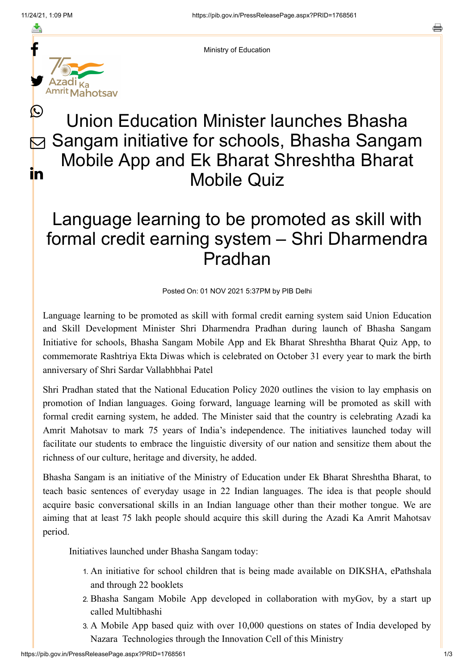≛

름



Ministry of Education

# Union Education Minister launches Bhasha Sangam initiative for schools, Bhasha Sangam Mobile App and Ek Bharat Shreshtha Bharat Mobile Quiz  $\bigcirc$  $\nabla$ <u>in</u>

# Language learning to be promoted as skill with formal credit earning system – Shri Dharmendra Pradhan

Posted On: 01 NOV 2021 5:37PM by PIB Delhi

Language learning to be promoted as skill with formal credit earning system said Union Education and Skill Development Minister Shri Dharmendra Pradhan during launch of Bhasha Sangam Initiative for schools, Bhasha Sangam Mobile App and Ek Bharat Shreshtha Bharat Quiz App, to commemorate Rashtriya Ekta Diwas which is celebrated on October 31 every year to mark the birth anniversary of Shri Sardar Vallabhbhai Patel

Shri Pradhan stated that the National Education Policy 2020 outlines the vision to lay emphasis on promotion of Indian languages. Going forward, language learning will be promoted as skill with formal credit earning system, he added. The Minister said that the country is celebrating Azadi ka Amrit Mahotsav to mark 75 years of India's independence. The initiatives launched today will facilitate our students to embrace the linguistic diversity of our nation and sensitize them about the richness of our culture, heritage and diversity, he added.

Bhasha Sangam is an initiative of the Ministry of Education under Ek Bharat Shreshtha Bharat, to teach basic sentences of everyday usage in 22 Indian languages. The idea is that people should acquire basic conversational skills in an Indian language other than their mother tongue. We are aiming that at least 75 lakh people should acquire this skill during the Azadi Ka Amrit Mahotsav period.

Initiatives launched under Bhasha Sangam today:

- 1. An initiative for school children that is being made available on DIKSHA, ePathshala and through 22 booklets
- 2. Bhasha Sangam Mobile App developed in collaboration with myGov, by a start up called Multibhashi
- 3. A Mobile App based quiz with over 10,000 questions on states of India developed by Nazara Technologies through the Innovation Cell of this Ministry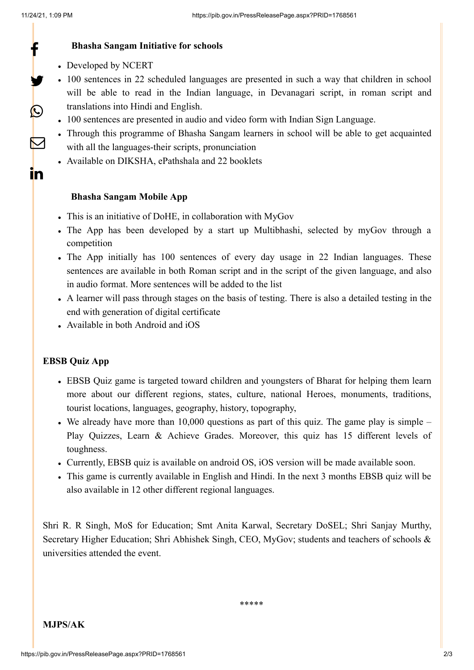f

y.

 $\bigcirc$ 

 $\nabla$ 

<u>in</u>

#### **Bhasha Sangam Initiative for schools**

- Developed by NCERT
- 100 sentences in 22 scheduled languages are presented in such a way that children in school will be able to read in the Indian language, in Devanagari script, in roman script and translations into Hindi and English.
- 100 sentences are presented in audio and video form with Indian Sign Language.
- Through this programme of Bhasha Sangam learners in school will be able to get acquainted with all the languages-their scripts, pronunciation
- Available on DIKSHA, ePathshala and 22 booklets

## **Bhasha Sangam Mobile App**

- This is an initiative of DoHE, in collaboration with MyGov
- The App has been developed by a start up Multibhashi, selected by myGov through a competition
- The App initially has 100 sentences of every day usage in 22 Indian languages. These sentences are available in both Roman script and in the script of the given language, and also in audio format. More sentences will be added to the list
- A learner will pass through stages on the basis of testing. There is also a detailed testing in the end with generation of digital certificate
- Available in both Android and iOS

## **EBSB Quiz App**

- EBSB Quiz game is targeted toward children and youngsters of Bharat for helping them learn more about our different regions, states, culture, national Heroes, monuments, traditions, tourist locations, languages, geography, history, topography,
- We already have more than  $10,000$  questions as part of this quiz. The game play is simple Play Quizzes, Learn & Achieve Grades. Moreover, this quiz has 15 different levels of toughness.
- Currently, EBSB quiz is available on android OS, iOS version will be made available soon.
- This game is currently available in English and Hindi. In the next 3 months EBSB quiz will be also available in 12 other different regional languages.

Shri R. R Singh, MoS for Education; Smt Anita Karwal, Secretary DoSEL; Shri Sanjay Murthy, Secretary Higher Education; Shri Abhishek Singh, CEO, MyGov; students and teachers of schools & universities attended the event.

\*\*\*\*\*

**MJPS/AK**